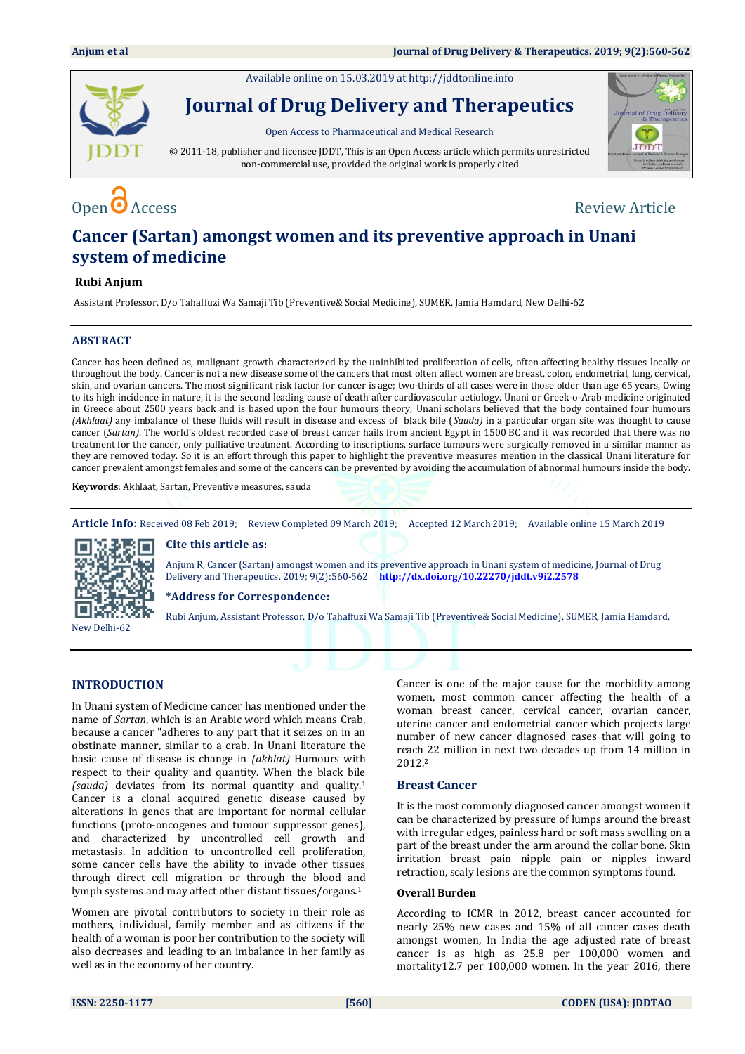Available online on 15.03.2019 a[t http://jddtonline.info](http://jddtonline.info/)



**Journal of Drug Delivery and Therapeutics**

Open Access to Pharmaceutical and Medical Research

© 2011-18, publisher and licensee JDDT, This is an Open Access article which permits unrestricted non-commercial use, provided the original work is properly cited



# $\Omega$  Access  $\Omega$  Access Review Article

# **Cancer (Sartan) amongst women and its preventive approach in Unani system of medicine**

### **Rubi Anjum**

Assistant Professor, D/o Tahaffuzi Wa Samaji Tib (Preventive& Social Medicine), SUMER, Jamia Hamdard, New Delhi-62

### **ABSTRACT**

Cancer has been defined as, malignant growth characterized by the uninhibited proliferation of cells, often affecting healthy tissues locally or throughout the body. Cancer is not a new disease some of the cancers that most often affect women are breast, colon, endometrial, lung, cervical, skin, and ovarian cancers. The most significant risk factor for cancer is age; two-thirds of all cases were in those older than age 65 years, Owing to its high incidence in nature, it is the second leading cause of death after cardiovascular aetiology. Unani or Greek-o-Arab medicine originated in Greece about 2500 years back and is based upon the four humours theory, Unani scholars believed that the body contained four humours *(Akhlaat)* any imbalance of these fluids will result in disease and excess of black bile (*Sauda)* in a particular organ site was thought to cause cancer (*Sartan)*. The world's oldest recorded case of breast cancer hails from ancient Egypt in 1500 BC and it was recorded that there was no treatment for the cancer, only palliative treatment. According to inscriptions, surface tumours were surgically removed in a similar manner as they are removed today. So it is an effort through this paper to highlight the preventive measures mention in the classical Unani literature for cancer prevalent amongst females and some of the cancers can be prevented by avoiding the accumulation of abnormal humours inside the body.

**Keywords**: Akhlaat, Sartan, Preventive measures, sauda

**Article Info:** Received 08 Feb 2019; Review Completed 09 March 2019; Accepted 12 March 2019; Available online 15 March 2019

New Delhi-62

**Cite this article as:**

Anjum R, Cancer (Sartan) amongst women and its preventive approach in Unani system of medicine, Journal of Drug Delivery and Therapeutics. 2019; 9(2):560-562 **<http://dx.doi.org/10.22270/jddt.v9i2.2578>** 

**\*Address for Correspondence:** 

Rubi Anjum, Assistant Professor, D/o Tahaffuzi Wa Samaji Tib (Preventive& Social Medicine), SUMER, Jamia Hamdard,

## **INTRODUCTION**

In Unani system of Medicine cancer has mentioned under the name of *Sartan*, which is an Arabic word which means Crab, because a cancer "adheres to any part that it seizes on in an obstinate manner, similar to a crab. In Unani literature the basic cause of disease is change in *(akhlat)* Humours with respect to their quality and quantity. When the black bile *(sauda)* deviates from its normal quantity and quality.<sup>1</sup> Cancer is a clonal acquired genetic disease caused by alterations in genes that are important for normal cellular functions (proto-oncogenes and tumour suppressor genes), and characterized by uncontrolled cell growth and metastasis. In addition to uncontrolled cell proliferation, some cancer cells have the ability to invade other tissues through direct cell migration or through the blood and lymph systems and may affect other distant tissues/organs.<sup>1</sup>

Women are pivotal contributors to society in their role as mothers, individual, family member and as citizens if the health of a woman is poor her contribution to the society will also decreases and leading to an imbalance in her family as well as in the economy of her country.

Cancer is one of the major cause for the morbidity among women, most common cancer affecting the health of a woman breast cancer, cervical cancer, ovarian cancer, uterine cancer and endometrial cancer which projects large number of new cancer diagnosed cases that will going to reach 22 million in next two decades up from 14 million in 2012.<sup>2</sup>

#### **Breast Cancer**

It is the most commonly diagnosed cancer amongst women it can be characterized by pressure of lumps around the breast with irregular edges, painless hard or soft mass swelling on a part of the breast under the arm around the collar bone. Skin irritation breast pain nipple pain or nipples inward retraction, scaly lesions are the common symptoms found.

#### **Overall Burden**

According to ICMR in 2012, breast cancer accounted for nearly 25% new cases and 15% of all cancer cases death amongst women, In India the age adjusted rate of breast cancer is as high as 25.8 per 100,000 women and mortality12.7 per 100,000 women. In the year 2016, there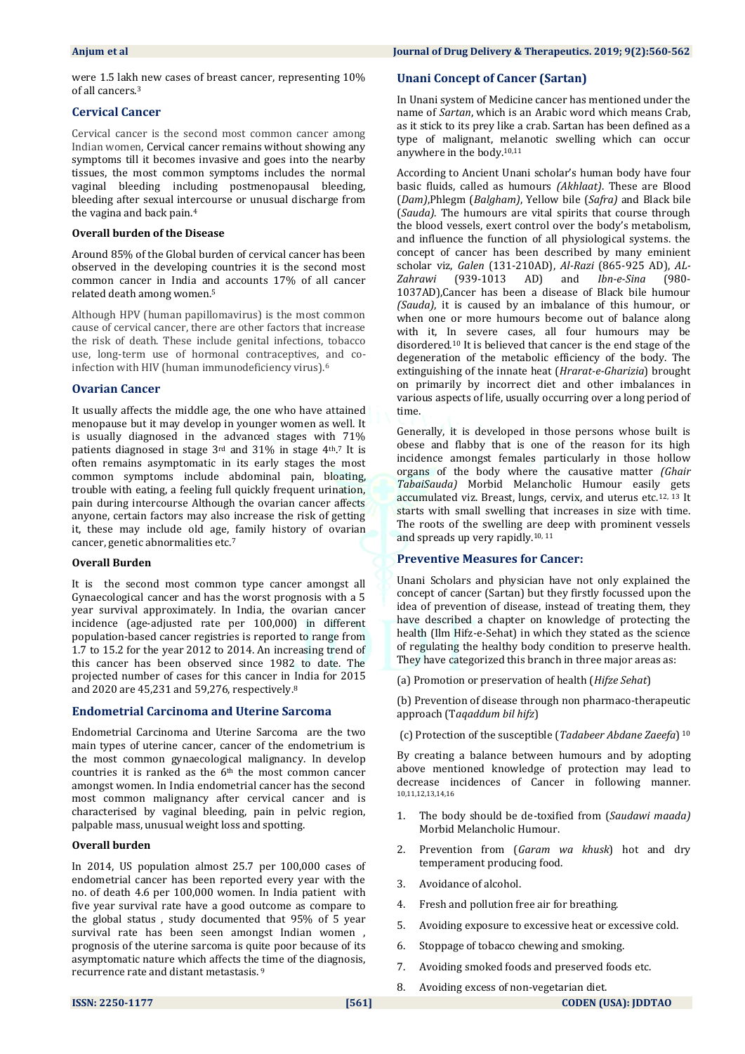were 1.5 lakh new cases of breast cancer, representing 10% of all cancers.<sup>3</sup>

### **Cervical Cancer**

Cervical cancer is the second most common cancer among Indian women, Cervical cancer remains without showing any symptoms till it becomes invasive and goes into the nearby tissues, the most common symptoms includes the normal vaginal bleeding including postmenopausal bleeding, bleeding after sexual intercourse or unusual discharge from the vagina and back pain. 4

#### **Overall burden of the Disease**

Around 85% of the Global burden of cervical cancer has been observed in the developing countries it is the second most common cancer in India and accounts 17% of all cancer related death among women.<sup>5</sup>

Although HPV (human papillomavirus) is the most common cause of cervical cancer, there are other factors that increase the risk of death. These include genital infections, tobacco use, long-term use of hormonal contraceptives, and coinfection with HIV (human immunodeficiency virus).<sup>6</sup>

### **Ovarian Cancer**

It usually affects the middle age, the one who have attained menopause but it may develop in younger women as well. It is usually diagnosed in the advanced stages with 71% patients diagnosed in stage 3<sup>rd</sup> and 31% in stage 4<sup>th</sup>.<sup>7</sup> It is often remains asymptomatic in its early stages the most common symptoms include abdominal pain, bloating, trouble with eating, a feeling full quickly frequent urination, pain during intercourse Although the ovarian cancer affects anyone, certain factors may also increase the risk of getting it, these may include old age, family history of ovarian cancer, genetic abnormalities etc.<sup>7</sup>

#### **Overall Burden**

It is the second most common type cancer amongst all Gynaecological cancer and has the worst prognosis with a 5 year survival approximately. In India, the ovarian cancer incidence (age-adjusted rate per 100,000) in different population-based cancer registries is reported to range from 1.7 to 15.2 for the year 2012 to 2014. An increasing trend of this cancer has been observed since 1982 to date. The projected number of cases for this cancer in India for 2015 and 2020 are 45,231 and 59,276, respectively.<sup>8</sup>

#### **Endometrial Carcinoma and Uterine Sarcoma**

Endometrial Carcinoma and Uterine Sarcoma are the two main types of uterine cancer, cancer of the endometrium is the most common gynaecological malignancy. In develop countries it is ranked as the 6th the most common cancer amongst women. In India endometrial cancer has the second most common malignancy after cervical cancer and is characterised by vaginal bleeding, pain in pelvic region, palpable mass, unusual weight loss and spotting.

#### **Overall burden**

In 2014, US population almost 25.7 per 100,000 cases of endometrial cancer has been reported every year with the no. of death 4.6 per 100,000 women. In India patient with five year survival rate have a good outcome as compare to the global status , study documented that 95% of 5 year survival rate has been seen amongst Indian women , prognosis of the uterine sarcoma is quite poor because of its asymptomatic nature which affects the time of the diagnosis, recurrence rate and distant metastasis. <sup>9</sup>

#### **Unani Concept of Cancer (Sartan)**

In Unani system of Medicine cancer has mentioned under the name of *Sartan*, which is an Arabic word which means Crab, as it stick to its prey like a crab. Sartan has been defined as a type of malignant, melanotic swelling which can occur anywhere in the body.10,11

According to Ancient Unani scholar's human body have four basic fluids, called as humours *(Akhlaat)*. These are Blood (*Dam)*,Phlegm (*Balgham)*, Yellow bile (*Safra)* and Black bile (*Sauda)*. The humours are vital spirits that course through the blood vessels, exert control over the body's metabolism, and influence the function of all physiological systems. the concept of cancer has been described by many eminient scholar viz, *Galen* (131-210AD), *Al-Razi* (865-925 AD), *AL-Zahrawi* (939-1013 AD) 1037AD),Cancer has been a disease of Black bile humour *(Sauda)*, it is caused by an imbalance of this humour, or when one or more humours become out of balance along with it, In severe cases, all four humours may be disordered.<sup>10</sup> It is believed that cancer is the end stage of the degeneration of the metabolic efficiency of the body. The extinguishing of the innate heat (*Hrarat-e-Gharizia*) brought on primarily by incorrect diet and other imbalances in various aspects of life, usually occurring over a long period of time.

Generally, it is developed in those persons whose built is obese and flabby that is one of the reason for its high incidence amongst females particularly in those hollow organs of the body where the causative matter *(Ghair TabaiSauda)* Morbid Melancholic Humour easily gets accumulated viz. Breast, lungs, cervix, and uterus etc.12, 13 It starts with small swelling that increases in size with time. The roots of the swelling are deep with prominent vessels and spreads up very rapidly.10, 11

#### **Preventive Measures for Cancer:**

Unani Scholars and physician have not only explained the concept of cancer (Sartan) but they firstly focussed upon the idea of prevention of disease, instead of treating them, they have described a chapter on knowledge of protecting the health (Ilm Hifz-e-Sehat) in which they stated as the science of regulating the healthy body condition to preserve health. They have categorized this branch in three major areas as:

(a) Promotion or preservation of health (*Hifze Sehat*)

(b) Prevention of disease through non pharmaco-therapeutic approach (T*aqaddum bil hifz*)

(c) Protection of the susceptible (*Tadabeer Abdane Zaeefa*) 10

By creating a balance between humours and by adopting above mentioned knowledge of protection may lead to decrease incidences of Cancer in following manner. 10,11,12,13,14,16

- 1. The body should be de‐toxified from (*Saudawi maada)* Morbid Melancholic Humour.
- 2. Prevention from (*Garam wa khusk*) hot and dry temperament producing food.
- 3. Avoidance of alcohol.
- 4. Fresh and pollution free air for breathing.
- 5. Avoiding exposure to excessive heat or excessive cold.
- 6. Stoppage of tobacco chewing and smoking.
- 7. Avoiding smoked foods and preserved foods etc.
- 8. Avoiding excess of non-vegetarian diet.